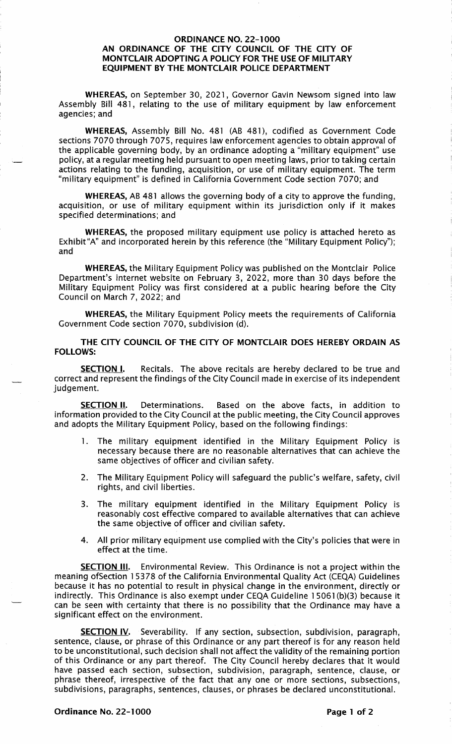## ORDINANCE NO. 22-1000 AN ORDINANCE OF THE CITY COUNCIL OF THE CITY OF MONTCLAIR ADOPTING A POLICY FOR THE USE OF MILITARY EQUIPMENT BY THE MONTCLAIR POLICE DEPARTMENT

WHEREAS, on September 30, 2021, Governor Gavin Newsom signed into law Assembly Bill 481, relating to the use of military equipment by law enforcement agencies; and

WHEREAS, Assembly Bill No. 481 (AB 481 ), codified as Government Code sections 7070 through 7075, requires law enforcement agencies to obtain approval of the applicable governing body, by an ordinance adopting a "military equipment" use policy, at a regular meeting held pursuant to open meeting laws, prior to taking certain actions relating to the funding, acquisition, or use of military equipment. The term "military equipment" is defined in California Government Code section 7070; and

WHEREAS, AB 481 allows the governing body of a city to approve the funding, acquisition, or use of military equipment within its jurisdiction only if it makes specified determinations; and

WHEREAS, the proposed military equipment use policy is attached hereto as Exhibit"A" and incorporated herein by this reference (the "Military Equipment Policy"); and

WHEREAS, the Military Equipment Policy was published on the Montclair Police Department's internet website on February 3, 2022, more than 30 days before the Military Equipment Policy was first considered at a public hearing before the City Council on March 7, 2022; and

WHEREAS, the Military Equipment Policy meets the requirements of California Government Code section 7070, subdivision (d).

THE CITY COUNCIL OF THE CITY OF MONTCLAIR DOES HEREBY ORDAIN AS FOLLOWS:

**SECTION I.** Recitals. The above recitals are hereby declared to be true and correct and represent the findings of the City Council made in exercise of its independent judgement.

**SECTION II.** Determinations. Based on the above facts, in addition to information provided to the City Council at the public meeting, the City Council approves and adopts the Military Equipment Policy, based on the following findings:

- 1. The military equipment identified in the Military Equipment Policy is necessary because there are no reasonable alternatives that can achieve the same objectives of officer and civilian safety.
- 2. The Military Equipment Policy will safeguard the public's welfare, safety, civil rights, and civil liberties.
- 3. The military equipment identified in the Military Equipment Policy is reasonably cost effective compared to available alternatives that can achieve the same objective of officer and civilian safety.
- 4. All prior military equipment use complied with the City's policies that were in effect at the time.

**SECTION III.** Environmental Review. This Ordinance is not a project within the meaning ofSection 15378 of the California Environmental Quality Act (CEQA) Guidelines because it has no potential to result in physical change in the environment, directly or indirectly. This Ordinance is also exempt under CEQA Guideline 1 5061 (b)(3) because it can be seen with certainty that there is no possibility that the Ordinance may have a significant effect on the environment.

**SECTION IV.** Severability. If any section, subsection, subdivision, paragraph, sentence, clause, or phrase of this Ordinance or any part thereof is for any reason held to be unconstitutional, such decision shall not affect the validity of the remaining portion of this Ordinance or any part thereof. The City Council hereby declares that it would have passed each section, subsection, subdivision, paragraph, sentence, clause, or phrase thereof, irrespective of the fact that any one or more sections, subsections, subdivisions, paragraphs, sentences, clauses, or phrases be declared unconstitutional.

Ordinance No. 22-1000 **Page 1 of 2** Page 1 of 2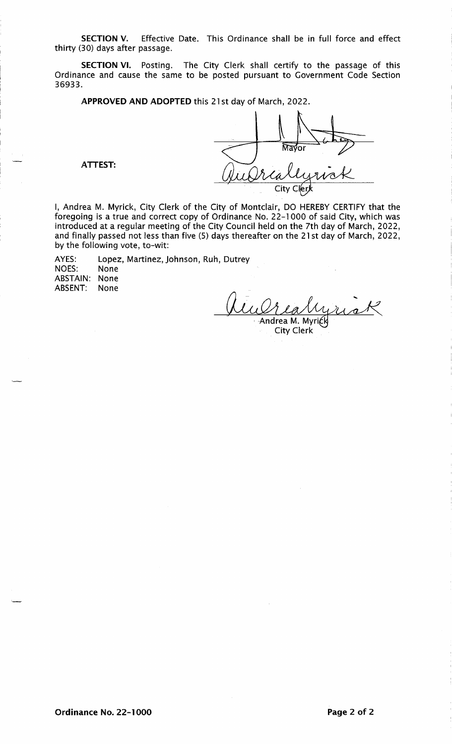**SECTION** V. Effective Date. This Ordinance shall be in full force and effect thirty (30) days after passage.

**SECTION** VI. Posting. The City Clerk shall certify to the passage of this Ordinance and cause the same to be posted pursuant to Government Code Section 36933.

**APPROVED AND ADOPTED** this 21st day of March, 2022.

সিম ior City

**ATTEST:** 

I, Andrea M. Myrick, City Clerk of the City of Montclair, DO HEREBY CERTIFY that the foregoing is a true and correct copy of Ordinance No. 22-1000 of said City, which was introduced at a regular meeting of the City Council held on the 7th day of March, 2022, and finally passed not less than five (5) days thereafter on the 21st day of March, 2022, by the following vote, to-wit:

AYES: Lopez, Martinez, Johnson, Ruh, Dutrey NOES: None ABSTAIN: None ABSENT: None

Rualis<br>Andrea M. Myrick City Clerk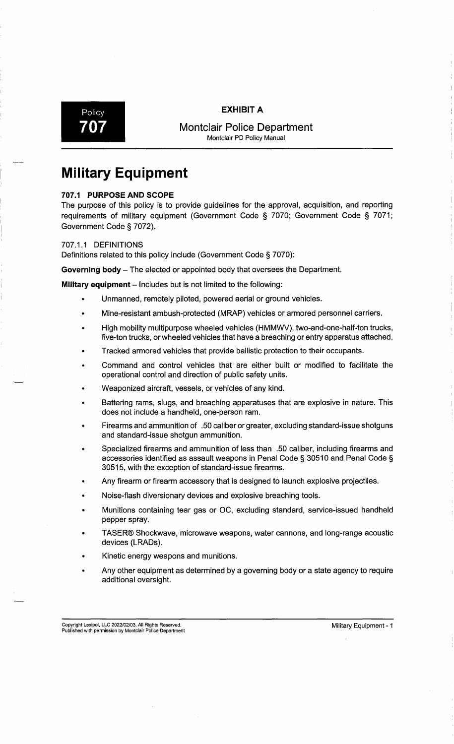## Policy **EXHIBIT A**



**707 I Montclair Police Department** Montclair PD Policy Manual

## **Military Equipment**

## **707.1 PURPOSE AND SCOPE**

The purpose of this policy is to provide guidelines for the approval, acquisition, and reporting requirements of military equipment (Government Code § 7070; Government Code § 7071; Government Code§ 7072).

## 707 .1.1 DEFINITIONS

Definitions related to this policy include (Government Code § 7070):

**Governing body** - The elected or appointed body that oversees the Department.

**Military equipment** – Includes but is not limited to the following:

- Unmanned, remotely piloted, powered aerial or ground vehicles.
- Mine-resistant ambush-protected (MRAP) vehicles or armored personnel carriers.
- High mobility multipurpose wheeled vehicles (HMMWV), two-and-one-half-ton trucks, five-ton trucks, or wheeled vehicles that have a breaching or entry apparatus attached.
- Tracked armored vehicles that provide ballistic protection to their occupants.
- Command and control vehicles that are either built or modified to facilitate the operational control and direction of public safety units.
- Weaponized aircraft, vessels, or vehicles of any kind.
- Battering rams, slugs, and breaching apparatuses that are explosive in nature. This does not include a handheld, one-person ram.
- Firearms and ammunition of .50 caliber or greater, excluding standard-issue shotguns and standard-issue shotgun ammunition.
- Specialized firearms and ammunition of less than .50 caliber, including firearms and accessories identified as assault weapons in Penal Code§ 30510 and Penal Code§ 30515, with the exception of standard-issue firearms.
- Any firearm or firearm accessory that is designed to launch explosive projectiles.
- Noise-flash diversionary devices and explosive breaching tools.
- Munitions containing tear gas or OC, excluding standard, service-issued handheld pepper spray.
- TASER® Shockwave, microwave weapons, water cannons, and long-range acoustic devices (LRADs).
- Kinetic energy weapons and munitions.
- Any other equipment as determined by a governing body or a state agency to require additional oversight.

Copyright Lexipol, LLC 2022/02/03, All Rights Reserved.<br>Published with permission by Montclair Police Department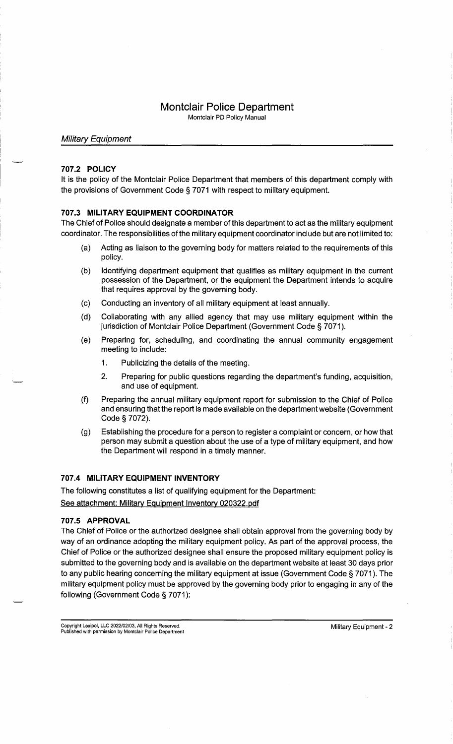## **Montclair Police Department**

Montclair PD Policy Manual

## Military Equipment

## **707 .2 POLICY**

It is the policy of the Montclair Police Department that members of this department comply with the provisions of Government Code § 7071 with respect to military equipment.

## **707.3 MILITARY EQUIPMENT COORDINATOR**

The Chief of Police should designate a member of this department to act as the military equipment coordinator. The responsibilities of the military equipment coordinator include but are not limited to:

- (a) Acting as liaison to the governing body for matters related to the requirements of this policy.
- (b) Identifying department equipment that qualifies as military equipment in the current possession of the Department, or the equipment the Department intends to acquire that requires approval by the governing body.
- (c) Conducting an inventory of all military equipment at least annually.
- (d) Collaborating with any allied agency that may use military equipment within the jurisdiction of Montclair Police Department (Government Code § 7071).
- (e) Preparing for, scheduling, and coordinating the annual community engagement meeting to include:
	- 1. Publicizing the details of the meeting.
	- 2. Preparing for public questions regarding the department's funding, acquisition, and use of equipment.
- (f) Preparing the annual military equipment report for submission to the Chief of Police and ensuring that the report is made available on the department website (Government Code § 7072).
- (g) Establishing the procedure for a person to register a complaint or concern, or how that person may submit a question about the use of a type of military equipment, and how the Department will respond in a timely manner.

## **707.4 MILITARY EQUIPMENT INVENTORY**

The following constitutes a list of qualifying equipment for the Department: See attachment: Military Equipment Inventory 020322.pdf

## **707.5 APPROVAL**

The Chief of Police or the authorized designee shall obtain approval from the governing body by way of an ordinance adopting the military equipment policy. As part of the approval process, the Chief of Police or the authorized designee shall ensure the proposed military equipment policy is submitted to the governing body and is available on the department website at least 30 days prior to any public hearing concerning the military equipment at issue (Government Code § 7071 ). The military equipment policy must be approved by the governing body prior to engaging in any of the following (Government Code § 7071):

Copyright Lexipol, LLC 2022/02/03, All Rights Reserved. Copyright Lexipol, LLC 2022/02/03, All Rights Reserved. We are also assessed as a state of the military Equipment - 2<br>Published with permission by Montclair Police Department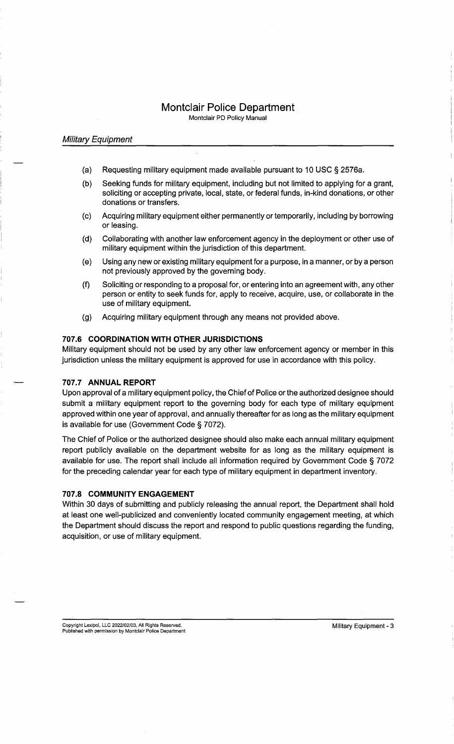## **Montclair Police Department**

Montclair PD Policy Manual

## Military Equipment

- (a) Requesting military equipment made available pursuant to 10 USC § 2576a.
- (b) Seeking funds for military equipment, including but not limited to applying for a grant, soliciting or accepting private, local, state, or federal funds, in-kind donations, or other donations or transfers.
- (c) Acquiring military equipment either permanently or temporarily, including by borrowing or leasing.
- (d) Collaborating with another law enforcement agency in the deployment or other use of military equipment within the jurisdiction of this department.
- ( e) Using any new or existing military equipment for a purpose, in a manner, or by a person not previously approved by the governing body.
- (f) Soliciting or responding to a proposal for, or entering into an agreement with, any other person or entity to seek funds for, apply to receive, acquire, use, or collaborate in the use of military equipment.
- (g) Acquiring military equipment through any means not provided above.

## **707.6 COORDINATION WITH OTHER JURISDICTIONS**

Military equipment should not be used by any other law enforcement agency or member in this jurisdiction unless the military equipment is approved for use in accordance with this policy.

## **707.7 ANNUAL REPORT**

Upon approval of a military equipment policy, the Chief of Police or the authorized designee should submit a military equipment report to the governing body for each type of military equipment approved within one year of approval, and annually thereafter for as long as the military equipment is available for use (Government Code § 7072).

The Chief of Police or the authorized designee should also make each annual military equipment report publicly available on the department website for as long as the military equipment is available for use. The report shall include all information required by Government Code § 7072 for the preceding calendar year for each type of military equipment in department inventory.

## **707.8 COMMUNITY ENGAGEMENT**

Within 30 days of submitting and publicly releasing the annual report, the Department shall hold at least one well-publicized and conveniently located community engagement meeting, at which the Department should discuss the report and respond to public questions regarding the funding, acquisition, or use of military equipment.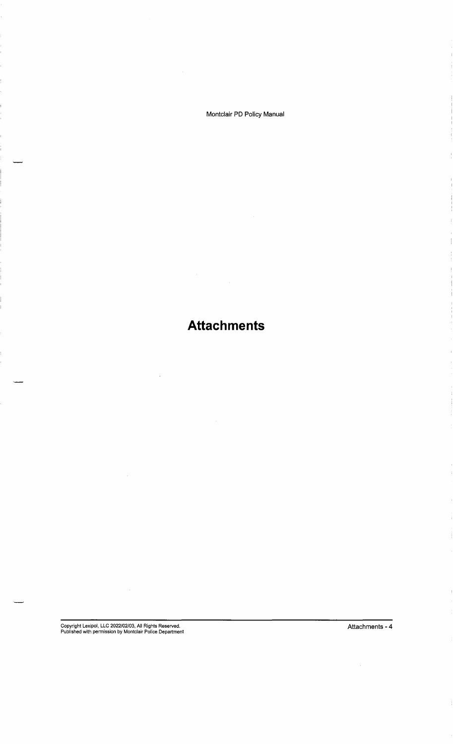Montclair PD Policy Manual

**Attachments** 

 $\hat{\mathcal{A}}$ 

 $\sim$   $\omega$ 

Copyright Lexipol, LLC 2022/02/03, All Rights Reserved. Published with permission by Montclair Police Department

 $\mathcal{L}_{\mathcal{A}}$ 

Attachments - 4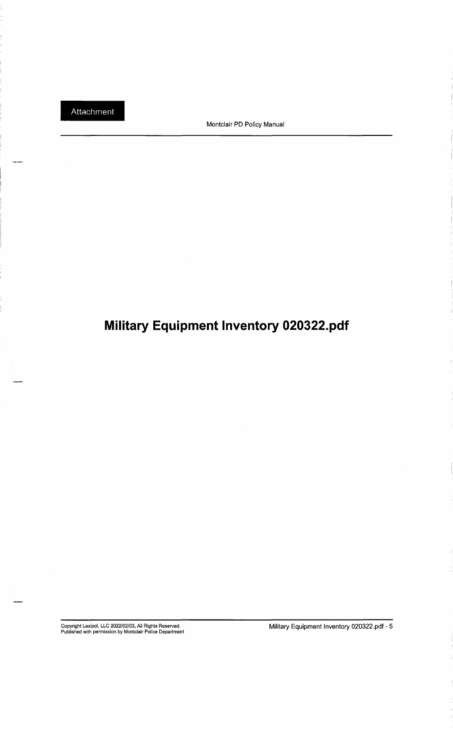Montclair PD Policy Manual

# **Military Equipment Inventory 020322.pdf**

Copyright Lexipol, LLC 2022/02/03, All Rights Reserved. Published with permission by Montclair Police Department

Military Equipment Inventory 020322.pdf - 5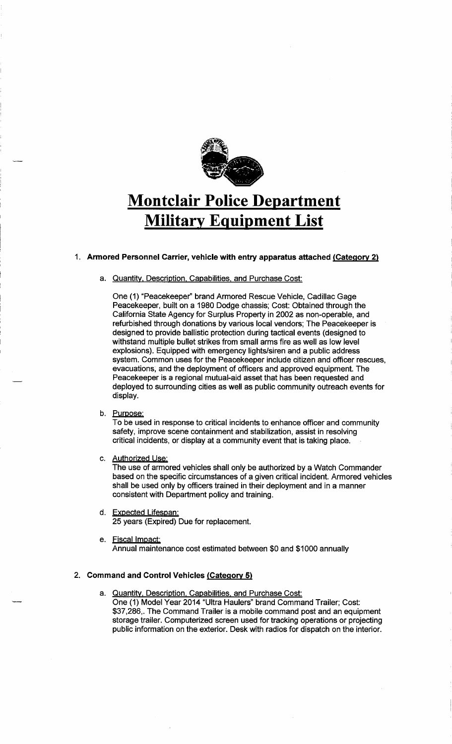

# **Montclair Police Department Military Equipment List**

## 1. **Armored Personnel Carrier, vehicle with entry apparatus attached {Category 2)**

## a. Quantity. Description. Capabilities. and Purchase Cost:

One (1) "Peacekeeper'' brand Armored Rescue Vehicle, Cadillac Gage Peacekeeper, built on a 1980 Dodge chassis; Cost: Obtained through the California State Agency for Surplus Property in 2002 as non-operable, and refurbished through donations by various local vendors; The Peacekeeper is designed to provide ballistic protection during tactical events (designed to withstand multiple bullet strikes from small arms fire as well as low level explosions). Equipped with emergency lights/siren and a public address system. Common uses for the Peacekeeper include citizen and officer rescues, evacuations; and the deployment of officers and approved equipment. The Peacekeeper is a regional mutual-aid asset that has been requested and deployed to surrounding cities as well as public community outreach events for display.

## b. Purpose:

To be used in response to critical incidents to enhance officer and community safety, improve scene containment and stabilization, assist in resolving critical incidents, or display at a community event that is taking place.

c. Authorized Use:

The use of armored vehicles shall only be authorized by a Watch Commander based on the specific circumstances of a given critical incident. Armored vehicles shall be used only by officers trained in their deployment and in a manner consistent with Department policy and training.

- d. Expected Lifespan: 25 years (Expired) Due for replacement.
- e. Fiscal Impact: Annual maintenance cost estimated between \$0 and \$1000 annually

## 2. **Command and Control Vehicles {Category 5)**

a. Quantity. Description. Capabilities. and Purchase Cost: One (1) Model Year 2014 "Ultra Haulers" brand Command Trailer; Cost: \$37,286,. The Command Trailer is a mobile command post and an equipment storage trailer. Computerized screen used for tracking operations or projecting public information on the exterior. Desk with radios for dispatch on the interior.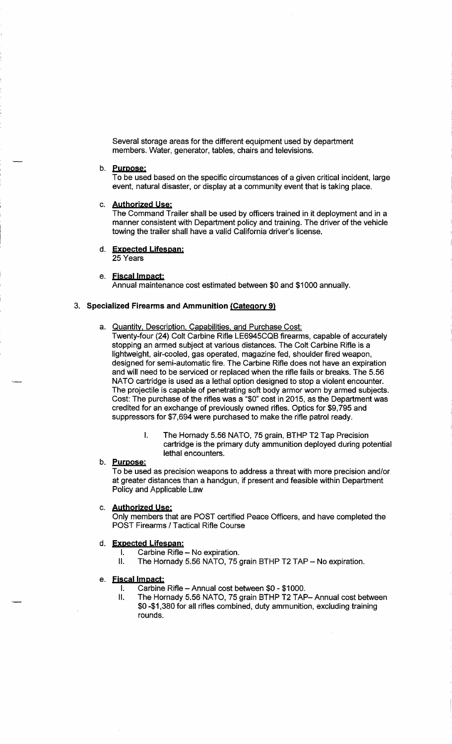Several storage areas for the different equipment used by department members. Water, generator, tables, chairs and televisions.

## b. **Purpose:**

To be used based on the specific circumstances of a given critical incident, large event, natural disaster, or display at a community event that is taking place.

## c. **Aythorized Use:**

The Command Trailer shall be used by officers trained in it deployment and in a manner consistent with Department policy and training. The driver of the vehicle towing the trailer shall have a valid California driver's license.

## **d. Expected Lifespan:**  25 Years

## e. **Fjscal Impact:**

Annual maintenance cost estimated between \$0 and \$1000 annually.

## 3. **Specialized Firearms and Ammunition (Category 9)**

## a. Quantity. Description. Capabilities. and Purchase Cost:

Twenty-four (24) Colt Carbine Rifle LE6945CQB firearms, capable of accurately stopping an armed subject at various distances. The Colt Carbine Rifle is a lightweight, air-cooled, gas operated, magazine fed, shoulder fired weapon, designed for semi-automatic fire. The Carbine Rifle does not have an expiration and will need to be serviced or replaced when the rifle fails or breaks. The 5.56 NATO cartridge is used as a lethal option designed to stop a violent encounter. The projectile is capable of penetrating soft body armor worn by armed subjects. Cost: The purchase of the rifles was a "\$0" cost in 2015, as the Department was credited for an exchange of previously owned rifles. Optics for \$9, 795 and suppressors for \$7,694 were purchased to make the rifle patrol ready.

> I. The Hornady 5.56 NATO, 75 grain, BTHP T2 Tap Precision cartridge is the primary duty ammunition deployed during potential lethal encounters.

## b. **Purpose:**

To be used as precision weapons to address a threat with more precision and/or at greater distances than a handgun, if present and feasible within Department Policy and Applicable Law

## c. **Aythorized Use:**

Only members that are POST certified Peace Officers, and have completed the POST Firearms / Tactical Rifle Course

## d. **Expected Lifespan:**

- $I.$  Carbine Rifle  $-$  No expiration.
- II. The Hornady 5.56 NATO, 75 grain BTHP T2 TAP No expiration.

## e. **Fjscal Impact:**

- I. Carbine Rifle Annual cost between \$0 \$1000.
- II. The Hornady 5.56 NATO, 75 grain BTHP T2 TAP-Annual cost between \$0-\$1,380 for all rifles combined, duty ammunition, excluding training rounds.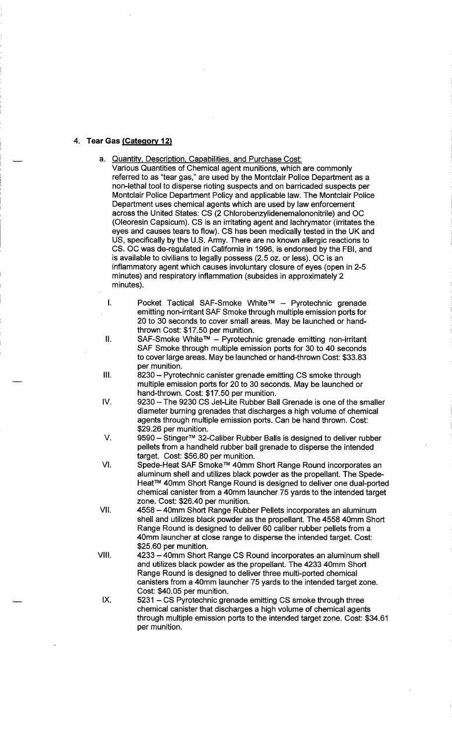## **4. Tear Gas (Category 12)**

- a. Quantity. Description. Capabilities. and Purchase Cost:
	- Various Quantities of Chemical agent munitions, which are commonly referred to as "tear gas," are used by the Montclair Police Department as a non-lethal tool to disperse rioting suspects and on barricaded suspects per Montclair Police Department Policy and applicable law. The Montclair Police Department uses chemical agents which are used by law enforcement across the United States: CS (2 Chlorobenzylidenemalononitrile) and OC (Oleoresin Capsicum). CS is an irritating agent and lachrymator (irritates the eyes and causes tears to flow). CS has been medically tested in the UK and US, specifically by the U.S. Army. There are no known allergic reactions to CS. OC was de-regulated in California in 1996, is endorsed by the FBI, and is available to civilians to legally possess (2.5 oz. or less). OC is an inflammatory agent which causes involuntary closure of eyes (open in 2-5 minutes) and respiratory inflammation (subsides in approximately 2 minutes).
	- I. Pocket Tactical SAF-Smoke White™ Pyrotechnic grenade emitting non-irritant SAF Smoke through multiple emission ports for 20 to 30 seconds to cover small areas. May be launched or handthrown Cost: \$17.50 per munition.
	- II. SAF-Smoke White™ Pyrotechnic grenade emitting non-irritant SAF Smoke through multiple emission ports for 30 to 40 seconds to cover large areas. May be launched or hand-thrown Cost: \$33.83 per munition.
- Ill. 8230 Pyrotechnic canister grenade emitting CS smoke through multiple emission ports for 20 to 30 seconds. May be launched or hand-thrown. Cost: \$17.50 per munition.
- IV. 9230 The 9230 CS Jet-Lite Rubber Ball Grenade is one of the smaller diameter burning grenades that discharges a high volume of chemical agents through multiple emission ports. Can be hand thrown. Cost: \$29.26 per munition.
- V. 9590 Stinger™ 32-Caliber Rubber Balls is designed to deliver rubber pellets from a handheld rubber ball grenade to disperse the intended target. Cost: \$56.80 per munition.
- VI. Spede-Heat SAF Smoke™ 40mm Short Range Round incorporates an aluminum shell and utilizes black powder as the propellant. The Spede-Heat™ 40mm Short Range Round is designed to deliver one dual-ported chemical canister from a 40mm launcher 75 yards to the intended target zone. Cost: \$26.40 per munition.
- VII. 4558 40mm Short Range Rubber Pellets incorporates an aluminum shell and utilizes black powder as the propellant. The 4558 40mm Short Range Round is designed to deliver 60 caliber rubber pellets from a 40mm launcher at close range to disperse the intended target. Cost: \$25.60 per munition.
- VIII. 4233 40mm Short Range CS Round incorporates an aluminum shell and utilizes black powder as the propellant. The 4233 40mm Short Range Round is designed to deliver three multi-ported chemical canisters from a 40mm launcher 75 yards to the intended target zone. Cost: \$40.05 per munition.
- IX. 5231 CS Pyrotechnic grenade emitting CS smoke through three chemical canister that discharges a high volume of chemical agents through multiple emission ports to the intended target zone. Cost: \$34.61 per munition.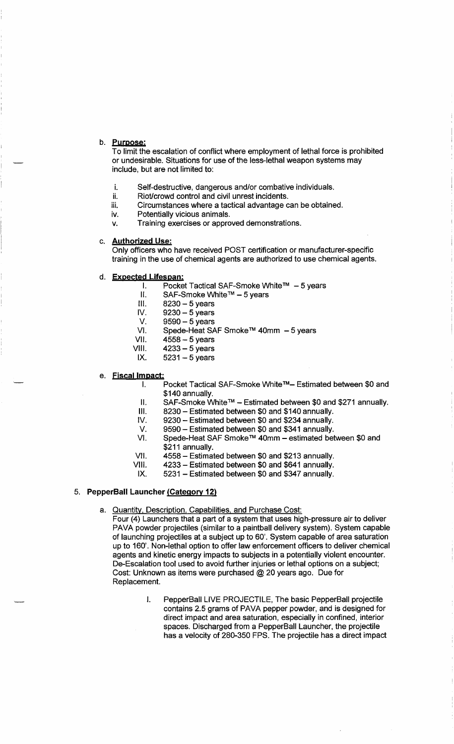## b. **Puroose:**

To limit the escalation of conflict where employment of lethal force is prohibited or undesirable. Situations for use of the less-lethal weapon systems may include, but are not limited to:

- i. Self-destructive, dangerous and/or combative individuals.
- ii. Riot/crowd control and civil unrest incidents.
- iii. Circumstances where a tactical advantage can be obtained.<br>iv. Potentially vicious animals.
- Potentially vicious animals.
- v. Training exercises or approved demonstrations.

## c. **Authorized Use:**

Only officers who have received POST certification or manufacturer-specific training in the use of chemical agents are authorized to use chemical agents.

- d. **Expected Lifespan:** 
	- I. Pocket Tactical SAF-Smoke White™ 5 years
	- II. SAF-Smoke White™ 5 years<br>III. 8230 5 years
	- III. 8230 5 years<br>IV. 9230 5 years
	- IV. 9230- 5 years
	- V. 9590 5 years
	- VI. Spede-Heat SAF Smoke™ 40mm 5 years<br>VII. 4558 5 years
	- VII. 4558 5 years<br>VIII. 4233 5 years
	- VIII. 4233 5 years<br>IX. 5231 5 years
	- $5231 5$  years
- e. **Fiscal Impact:** 
	- I. Pocket Tactical SAF-Smoke White™- Estimated between \$0 and \$140 annually.
	- II. SAF-Smoke White™ Estimated between \$0 and \$271 annually.
	- III. 8230 Estimated between \$0 and \$140 annually.<br>IV. 9230 Estimated between \$0 and \$234 annually.
	- 9230 Estimated between \$0 and \$234 annually.
	- V. 9590 Estimated between \$0 and \$341 annually.<br>VI. Spede-Heat SAF Smoke™ 40mm estimated bet
	- Spede-Heat SAF Smoke™ 40mm estimated between \$0 and \$211 annually.
	- VII. 4558 Estimated between \$0 and \$213 annually.<br>VIII. 4233 Estimated between \$0 and \$641 annually.
	- 4233 Estimated between \$0 and \$641 annually.
	- IX. 5231 Estimated between \$0 and \$347 annually.

## 5. **PepperBa!I Launcher (Category 12)**

- a. Quantity. Description. Capabilities. and Purchase Cost:
	- Four (4) Launchers that a part of a system that uses high-pressure air to deliver PAVA powder projectiles (similar to a paintball delivery system). System capable of launching projectiles at a subject up to 60'. System capable of area saturation up to 160'. Non-lethal option to offer law enforcement officers to deliver chemical agents and kinetic energy impacts to subjects in a potentially violent encounter. De-Escalation tool used to avoid further injuries or lethal options on a subject; Cost: Unknown as items were purchased @ 20 years ago. Due for Replacement.
		- I. PepperBall LIVE PROJECTILE, The basic PepperBall projectile contains 2.5 grams of PAVA pepper powder, and is designed for direct impact and area saturation, especially in confined, interior spaces. Discharged from a PepperBall Launcher, the projectile has a velocity of 280-350 FPS. The projectile has a direct impact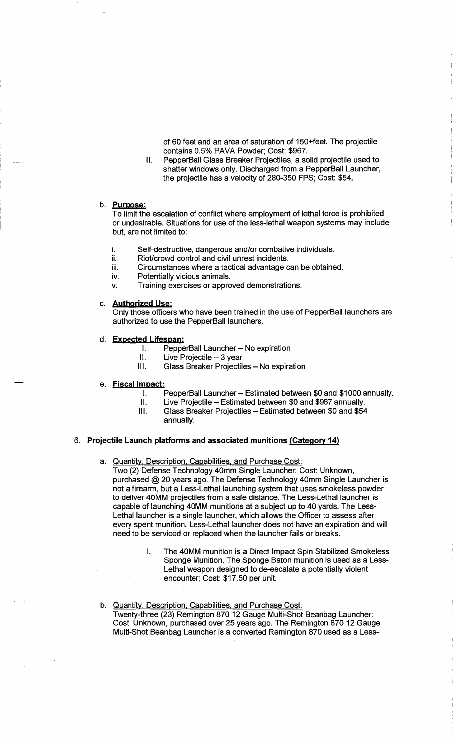of 60 feet and an area of saturation of 150+feet. The projectile contains 0.5% PAVA Powder; Cost: \$967.

II. PepperBall Glass Breaker Projectiles, a solid projectile used to shatter windows only. Discharged from a PepperBall Launcher, the projectile has a velocity of 280-350 FPS; Cost: \$54.

## b. **pyrpose:**

To limit the escalation of conflict where employment of lethal force is prohibited or undesirable. Situations for use of the less-lethal weapon systems may include but, are not limited to:

- i. Self-destructive, dangerous and/or combative individuals.
- ii. Riot/crowd control and civil unrest incidents.
- iii. Circumstances where a tactical advantage can be obtained.
- iv. Potentially vicious animals.
- *v.* Training exercises or approved demonstrations.

## c. **Authorjzed Use:**

Only those officers who have been trained in the use of PepperBall launchers are authorized to use the PepperBall launchers.

- d. **Expected Lifespan:** 
	- I. PepperBall Launcher No expiration
	- $II.$  Live Projectile  $-3$  year
	- III. Glass Breaker Projectiles No expiration

## e. **Fiscal Impact:**

- I. PepperBall Launcher Estimated between \$0 and \$1000 annually.
- II. Live Projectile Estimated between \$0 and \$967 annually.<br>III. Glass Breaker Projectiles Estimated between \$0 and \$54
- Glass Breaker Projectiles Estimated between \$0 and \$54 annually.

## 6. **Projectile Launch platforms and associated munitions (Category 14)**

a. Quantity, Description. Capabilities. and Purchase Cost:

Two (2) Defense Technology 40mm Single Launcher: Cost: Unknown, purchased @20 years ago. The Defense Technology 40mm Single Launcher is not a firearm, but a Less-Lethal launching system that uses smokeless powder to deliver 40MM projectiles from a safe distance. The Less-Lethal launcher is capable of launching 40MM munitions at a subject up to 40 yards. The Less-Lethal launcher is a single launcher, which allows the Officer to assess after every spent munition. Less-Lethal launcher does not have an expiration and will need to be serviced or replaced when the launcher fails or breaks.

- I. The 40MM munition is a Direct Impact Spin Stabilized Smokeless Sponge Munition. The Sponge Baton munition is used as a Less-Lethal weapon designed to de-escalate a potentially violent encounter; Cost: \$17.50 per unit.
- b. Quantity, Description, Capabilities, and Purchase Cost: Twenty-three (23) Remington 870 12 Gauge Multi-Shot Beanbag Launcher: Cost: Unknown, purchased over 25 years ago. The Remington 870 12 Gauge Multi-Shot Beanbag Launcher is a converted Remington 870 used as a Less-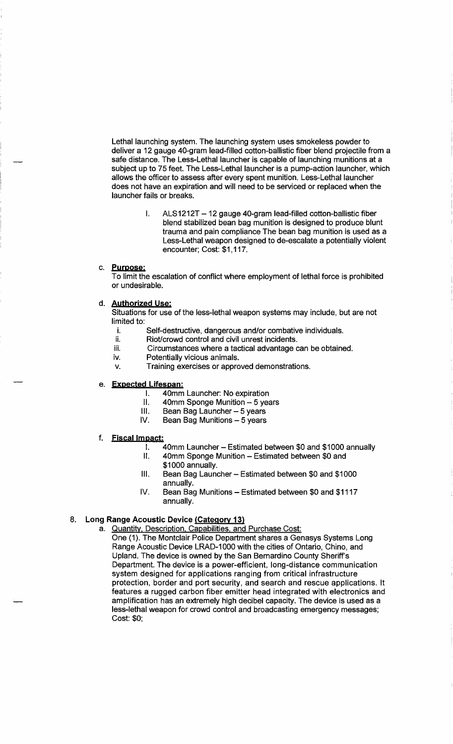Lethal launching system. The launching system uses smokeless powder to deliver a 12 gauge 40-gram lead-filled cotton-ballistic fiber blend projectile from a safe distance. The Less-Lethal launcher is capable of launching munitions at a subject up to 75 feet. The Less-Lethal launcher is a pump-action launcher, which allows the officer to assess after every spent munition. Less-Lethal launcher does not have an expiration and will need to be serviced or replaced when the launcher fails or breaks.

> I. ALS1212T - 12 gauge 40-gram lead-filled cotton-ballistic fiber blend stabilized bean bag munition is designed to produce blunt trauma and pain compliance The bean bag munition is used as a Less-Lethal weapon designed to de-escalate a potentially violent encounter; Cost: \$1, 117.

## c. **Pyroose:**

To limit the escalation of conflict where employment of lethal force is prohibited or undesirable.

#### d. **Aythorized Use:**

Situations for use of the less-lethal weapon systems may include, but are not limited to:

- i. Self-destructive, dangerous and/or combative individuals.<br>ii. Riot/crowd control and civil unrest incidents.
- ii. Riot/crowd control and civil unrest incidents.<br>iii. Circumstances where a tactical advantage o
	- Circumstances where a tactical advantage can be obtained.
- iv. Potentially vicious animals.
- v. Training exercises or approved demonstrations.

## e. **Expected Lifespan:**

- I. 40mm Launcher: No expiration
- II.  $40$ mm Sponge Munition  $-5$  years
- III. Bean Bag Launcher 5 years<br>IV. Bean Bag Munitions 5 years
- Bean Bag Munitions  $-5$  years

## f. **Fiscal Im pact:**

- I. 40mm Launcher- Estimated between \$0 and \$1000 annually
	- II. 40mm Sponge Munition Estimated between \$0 and
		- \$1000 annually.
	- III. Bean Bag Launcher Estimated between \$0 and \$1000 annually.
	- IV. Bean Bag Munitions Estimated between \$0 and \$1117 annually.

## 8. **Long Range Acoustic Device (Category 13)**

- a. Quantity. Description. Capabilities. and Purchase Cost:
	- One (1). The Montclair Police Department shares a Genasys Systems Long Range Acoustic Device LRAD-1000 with the cities of Ontario, Chino, and Upland. The device is owned by the San Bernardino County Sheriff's Department. The device is a power-efficient, long-distance communication system designed for applications ranging from critical infrastructure protection, border and port security, and search and rescue applications. It features a rugged carbon fiber emitter head integrated with electronics and amplification has an extremely high decibel capacity. The device is used as a less-lethal weapon for crowd control and broadcasting emergency messages; Cost: \$0;